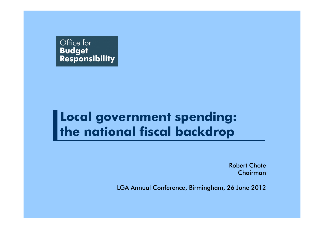

### **Local government spending: the national fiscal backdrop**

Robert ChoteChairman

LGA Annual Conference, Birmingham, 26 June 2012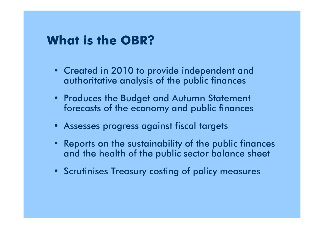### **What is the OBR?**

- Created in 2010 to provide independent and authoritative analysis of the public finances
- Produces the Budget and Autumn Statement forecasts of the economy and public finances
- Assesses progress against fiscal targets
- • Reports on the sustainability of the public finances and the health of the public sector balance sheet
- Scrutinises Treasury costing of policy measures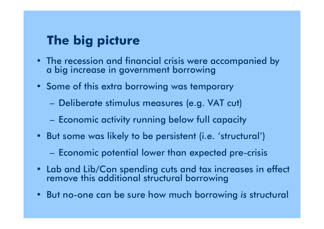## **The big picture**

- The recession and financial crisis were accompanied by a big increase in government borrowing
- Some of this extra borrowing was temporary
	- $\mathcal{L}_{\mathcal{A}}$ Deliberate stimulus measures (e.g. VAT cut)
	- $-$  Economic activity running below full capacity
- But some was likely to be persistent (i.e. 'structural')
	- Economic potential lower than expected pre-crisis
- Lab and Lib/Con spending cuts and tax increases in effect remove this additional structural borrowing
- But no-one can be sure how much borrowing *is* structural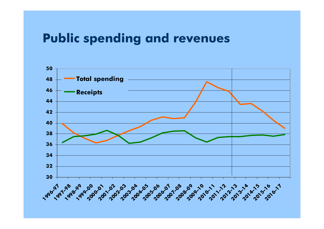#### **Public spending and revenues**

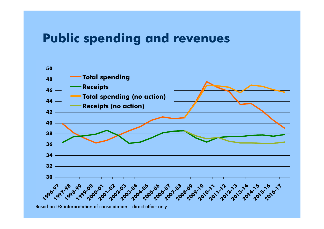### **Public spending and revenues**



Based on IFS interpretation of consolidation – direct effect only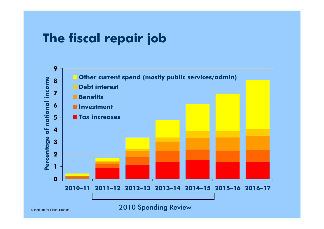## **The fiscal repair job**



2010 Spending Review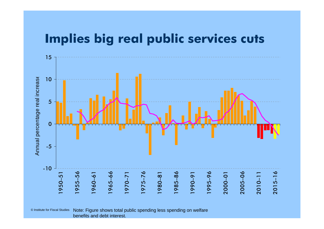#### **Implies big real public services cuts**



© Institute for Fiscal Studies Note: Figure shows total public spending less spending on welfare benefits and debt interest.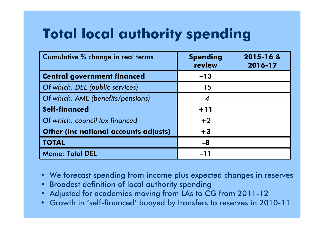# **Total local authority spending**

| Cumulative % change in real terms     | <b>Spending</b><br>review | 2015-16 &<br>2016-17 |
|---------------------------------------|---------------------------|----------------------|
| <b>Central government financed</b>    | $-13$                     |                      |
| Of which: DEL (public services)       | $-15$                     |                      |
| Of which: AME (benefits/pensions)     |                           |                      |
| <b>Self-financed</b>                  | $+11$                     |                      |
| Of which: council tax financed        | $+2$                      |                      |
| Other (inc national accounts adjusts) | $+3$                      |                      |
| <b>TOTAL</b>                          | $-8$                      |                      |
| <b>Memo: Total DEL</b>                | $-11$                     |                      |

- We forecast spending from income plus expected changes in reserves
- Broadest definition of local authority spending
- •Adjusted for academies moving from LAs to CG from 2011-12
- Growth in 'self-financed' buoyed by transfers to reserves in 2010-11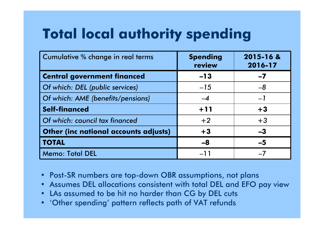# **Total local authority spending**

| Cumulative % change in real terms     | <b>Spending</b><br>review | 2015-16 &<br>2016-17 |
|---------------------------------------|---------------------------|----------------------|
| <b>Central government financed</b>    | $-13$                     | $-7$                 |
| Of which: DEL (public services)       | $-15$                     | $-8$                 |
| Of which: AME (benefits/pensions)     | $-4$                      | $-1$                 |
| <b>Self-financed</b>                  | $+11$                     | $+3$                 |
| Of which: council tax financed        | $+2$                      | $+3$                 |
| Other (inc national accounts adjusts) | $+3$                      | $-3$                 |
| <b>TOTAL</b>                          | $-8$                      | $-5$                 |
| <b>Memo: Total DEL</b>                | $-11$                     |                      |

- Post-SR numbers are top-down OBR assumptions, not plans
- Assumes DEL allocations consistent with total DEL and EFO pay view
- LAs assumed to be hit no harder than CG by DEL cuts
- 'Other spending' pattern reflects path of VAT refunds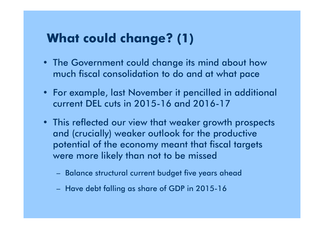## **What could change? (1)**

- The Government could change its mind about how much fiscal consolidation to do and at what pace
- For example, last November it pencilled in additional current DEL cuts in 2015-16 and 2016-17
- This reflected our view that weaker growth prospects and (crucially) weaker outlook for the productive potential of the economy meant that fiscal targets were more likely than not to be missed
	- Balance structural current budget five years ahead
	- Have debt falling as share of GDP in 2015-16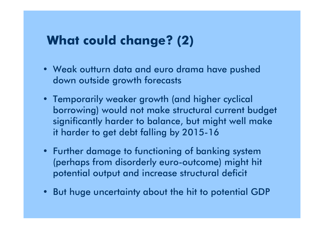## **What could change? (2)**

- Weak outturn data and euro drama have pushed down outside growth forecasts
- Temporarily weaker growth (and higher cyclical borrowing) would not make structural current budget significantly harder to balance, but might well make it harder to get debt falling by 2015-16
- Further damage to functioning of banking system (perhaps from disorderly euro-outcome) might hit potential output and increase structural deficit
- But huge uncertainty about the hit to potential GDP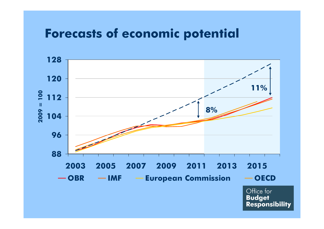### **Forecasts of economic potential**